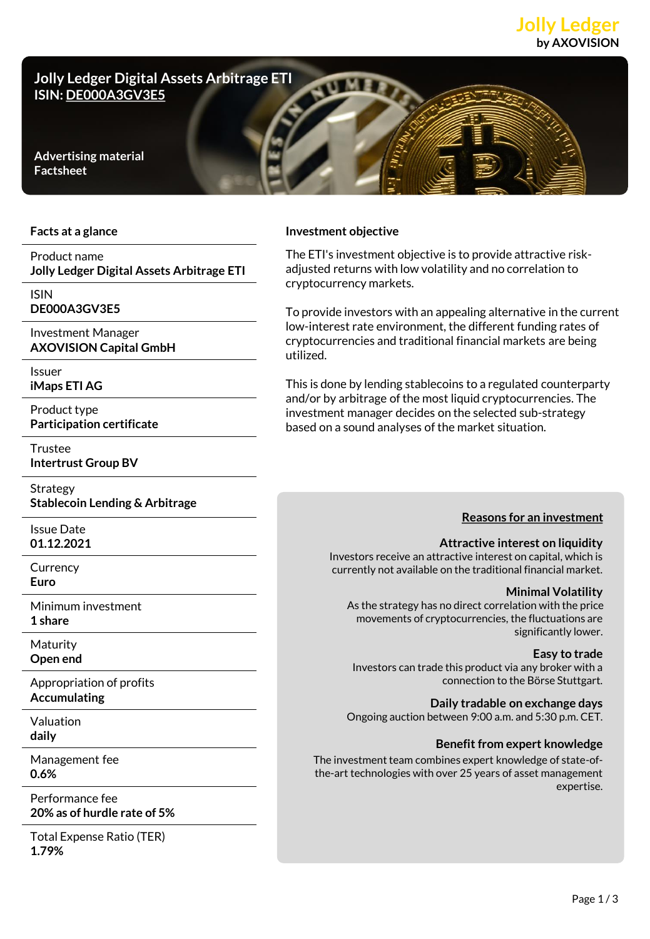# **Jolly Ledger by AXOVISION**



#### **Facts at a glance**

## Product name **Jolly Ledger Digital Assets Arbitrage ETI**

ISIN

**DE000A3GV3E5**

Investment Manager **AXOVISION Capital GmbH**

Issuer **iMaps ETI AG**

Product type **Participation certificate**

Trustee

**Intertrust Group BV**

Strategy **Stablecoin Lending & Arbitrage**

Issue Date **01.12.2021**

**Currency Euro**

Minimum investment **1 share**

Maturity **Open end**

Appropriation of profits **Accumulating**

Valuation **daily**

Management fee **0.6%**

Performance fee **20% as of hurdle rate of 5%**

Total Expense Ratio (TER) **1.79%**

#### **Investment objective**

The ETI's investment objective is to provide attractive riskadjusted returns with low volatility and no correlation to cryptocurrency markets.

To provide investors with an appealing alternative in the current low-interest rate environment, the different funding rates of cryptocurrencies and traditional financial markets are being utilized.

This is done by lending stablecoins to a regulated counterparty and/or by arbitrage of the most liquid cryptocurrencies. The investment manager decides on the selected sub-strategy based on a sound analyses of the market situation.

### **Reasons for an investment**

#### **Attractive interest on liquidity**

Investors receive an attractive interest on capital, which is currently not available on the traditional financial market.

#### **Minimal Volatility**

As the strategy has no direct correlation with the price movements of cryptocurrencies, the fluctuations are significantly lower.

**Easy to trade**

Investors can trade this product via any broker with a connection to the Börse Stuttgart.

**Daily tradable on exchange days**

Ongoing auction between 9:00 a.m. and 5:30 p.m. CET.

#### **Benefit from expert knowledge**

The investment team combines expert knowledge of state-ofthe-art technologies with over 25 years of asset management expertise.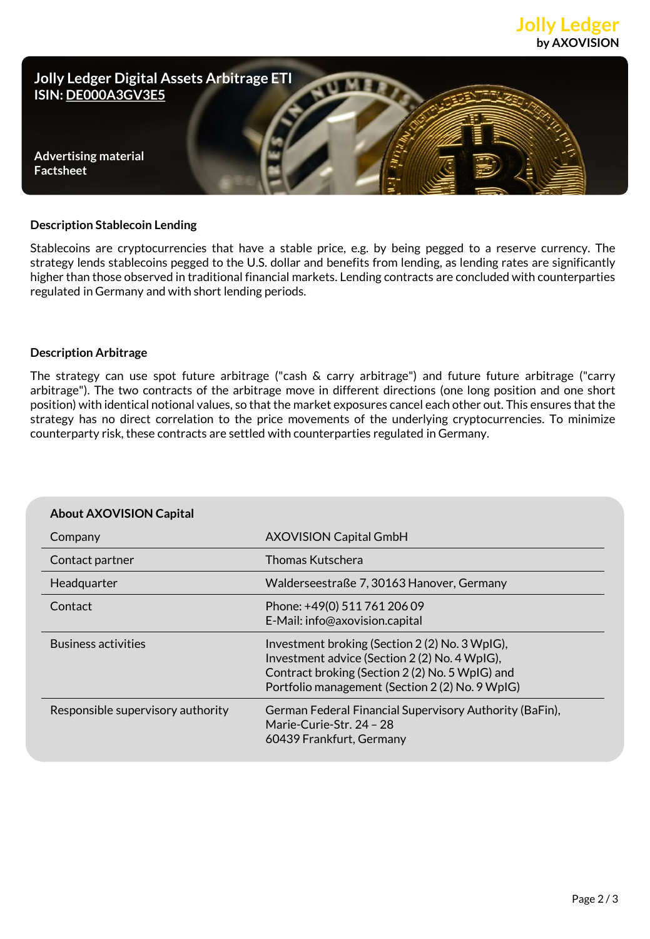



#### **Description Stablecoin Lending**

Stablecoins are cryptocurrencies that have a stable price, e.g. by being pegged to a reserve currency. The strategy lends stablecoins pegged to the U.S. dollar and benefits from lending, as lending rates are significantly higher than those observed in traditional financial markets. Lending contracts are concluded with counterparties regulated in Germany and with short lending periods.

#### **Description Arbitrage**

The strategy can use spot future arbitrage ("cash & carry arbitrage") and future future arbitrage ("carry arbitrage"). The two contracts of the arbitrage move in different directions (one long position and one short position) with identical notional values, so that the market exposures cancel each other out. This ensures that the strategy has no direct correlation to the price movements of the underlying cryptocurrencies. To minimize counterparty risk, these contracts are settled with counterparties regulated in Germany.

| <b>About AXOVISION Capital</b>    |                                                                                                                                                                                                      |
|-----------------------------------|------------------------------------------------------------------------------------------------------------------------------------------------------------------------------------------------------|
| Company                           | <b>AXOVISION Capital GmbH</b>                                                                                                                                                                        |
| Contact partner                   | Thomas Kutschera                                                                                                                                                                                     |
| Headquarter                       | Walderseestraße 7, 30163 Hanover, Germany                                                                                                                                                            |
| Contact                           | Phone: +49(0) 511 761 206 09<br>E-Mail: info@axovision.capital                                                                                                                                       |
| <b>Business activities</b>        | Investment broking (Section 2 (2) No. 3 WpIG),<br>Investment advice (Section 2(2) No. 4 WpIG),<br>Contract broking (Section 2 (2) No. 5 WpIG) and<br>Portfolio management (Section 2 (2) No. 9 WpIG) |
| Responsible supervisory authority | German Federal Financial Supervisory Authority (BaFin),<br>Marie-Curie-Str. 24 – 28<br>60439 Frankfurt, Germany                                                                                      |